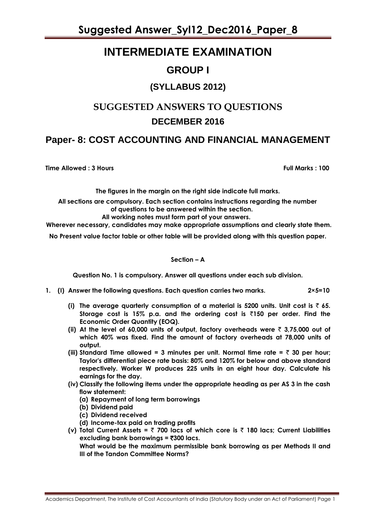## **INTERMEDIATE EXAMINATION**

### **GROUP I**

### **(SYLLABUS 2012)**

## **SUGGESTED ANSWERS TO QUESTIONS DECEMBER 2016**

### **Paper- 8: COST ACCOUNTING AND FINANCIAL MANAGEMENT**

**Time Allowed : 3 Hours Full Marks : 100**

**The figures in the margin on the right side indicate full marks.**

**All sections are compulsory. Each section contains instructions regarding the number of questions to be answered within the section.**

**All working notes must form part of your answers.**

**Wherever necessary, candidates may make appropriate assumptions and clearly state them.**

**No Present value factor table or other table will be provided along with this question paper.**

**Section – A**

**Question No. 1 is compulsory. Answer all questions under each sub division.**

- **1. (I) Answer the following questions. Each question carries two marks. 2×5=10**
	- **(i) The average quarterly consumption of a material is 5200 units. Unit cost is** ` **65. Storage cost is 15% p.a. and the ordering cost is** `**150 per order. Find the Economic Order Quantity (EOQ).**
	- **(ii)** At the level of 60,000 units of output, factory overheads were  $\bar{\tau}$  3,75,000 out of **which 40% was fixed. Find the amount of factory overheads at 78,000 units of output.**
	- (iii) Standard Time allowed = 3 minutes per unit. Normal time rate =  $\bar{z}$  30 per hour; **Taylor's differential piece rate basis: 80% and 120% for below and above standard respectively. Worker W produces 225 units in an eight hour day. Calculate his earnings for the day.**
	- **(iv) Classify the following items under the appropriate heading as per AS 3 in the cash flow statement:**
		- **(a) Repayment of long term borrowings**
		- **(b) Dividend paid**
		- **(c) Dividend received**
		- **(d) Income-tax paid on trading profits**
	- **(v) Total Current Assets =** ` **700 lacs of which core is** ` **180 lacs; Current Liabilities excluding bank borrowings =** `**300 lacs.**

**What would be the maximum permissible bank borrowing as per Methods II and III of the Tandon Committee Norms?**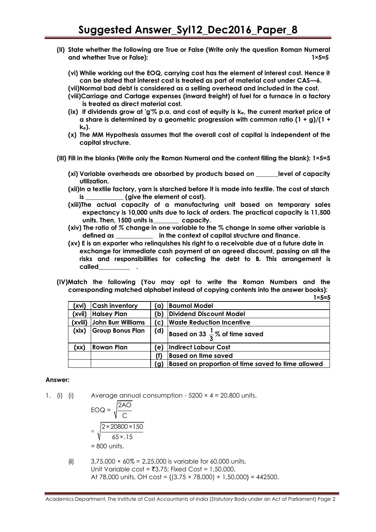- **(II) State whether the following are True or False (Write only the question Roman Numeral and whether True or False): 1×5=5**
	- **(vi) While working out the EOQ, carrying cost has the element of interest cost. Hence it can be stated that interest cost is treated as part of material cost under CAS—6.**
	- **(vii)Normal bad debt is considered as a selling overhead and included in the cost.**
	- **(viii)Carriage and Cartage expenses (inward freight) of fuel for a furnace in a factory is treated as direct material cost.**
	- **(ix) If dividends grow at 'g'% p.a. and cost of equity is ke, the current market price of a share is determined by a geometric progression with common ratio (1 + g)/(1 + ke).**
	- **(x) The MM Hypothesis assumes that the overall cost of capital is independent of the capital structure.**
- **(III) Fill in the blanks (Write only the Roman Numeral and the content filling the blank): 1×5=5**
	- **(xi) Variable overheads are absorbed by products based on \_\_\_\_\_\_\_level of capacity utilization.**
	- **(xii)In a textile factory, yarn is starched before it is made into textile. The cost of starch is \_\_\_\_\_\_\_\_\_\_\_\_ (give the element of cost).**
	- **(xiii)The actual capacity of a manufacturing unit based on temporary sales expectancy is 10,000 units due to lack of orders. The practical capacity is 11,500 units. Then, 1500 units is\_\_\_\_\_\_\_\_ capacity.**
	- **(xiv) The ratio of** *%* **change in one variable to the % change in some other variable is defined as \_\_\_\_\_\_\_\_\_\_\_\_ in the context of capital structure and finance.**
	- **(xv) E is an exporter who relinquishes his right to a receivable due at a future date in exchange for immediate cash payment at an agreed discount, passing on all the risks and responsibilities for collecting the debt to B***.* **This arrangement is called\_\_\_\_\_\_\_\_\_\_ .**
- **(IV)Match the following (You may opt to write the Roman Numbers and the corresponding matched alphabet instead of copying contents into the answer books):**

|         |                         |     | $1 \times 5 = 5$                                     |
|---------|-------------------------|-----|------------------------------------------------------|
| (xvi    | <b>Cash inventory</b>   | ้ต) | <b>Baumol Model</b>                                  |
| (xvii)  | <b>Halsey Plan</b>      | b)  | Dividend Discount Model                              |
| (xviii) | John Burr Williams      | (c) | <b>Waste Reduction Incentive</b>                     |
| (xix)   | <b>Group Bonus Plan</b> |     | (d) $\int$ Based on 33 $\frac{1}{3}$ % of time saved |
| (xx)    | Rowan Plan              | e)  | <b>Indirect Labour Cost</b>                          |
|         |                         | O   | <b>Based on time saved</b>                           |
|         |                         | (q  | Based on proportion of time saved to time allowed    |

#### **Answer:**

1. (I) (i) Average annual consumption -  $5200 \times 4 = 20,800$  units.

$$
EOQ = \sqrt{\frac{2AO}{C}}
$$

$$
= \sqrt{\frac{2 \times 20800 \times 150}{65 \times 15}}
$$

$$
= 800 \text{ units.}
$$

(ii)  $3,75,000 \times 60\% = 2,25,000$  is variable for 60,000 units. Unit Variable cost =  $\overline{53.75}$ ; Fixed Cost = 1,50,000. At 78,000 units, OH cost =  ${(3.75 \times 78,000) + 1,50,000} = 442500$ .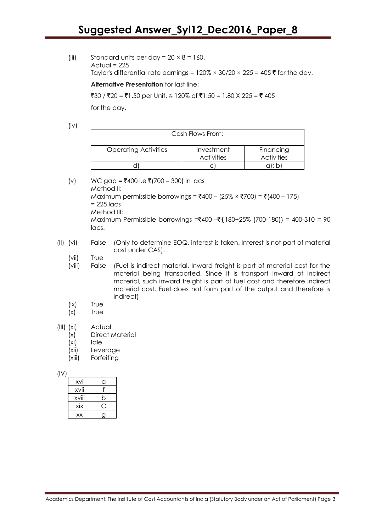(iii) Standard units per day =  $20 \times 8 = 160$ . Actual  $= 225$ Taylor's differential rate earnings =  $120\% \times 30/20 \times 225 = 405$  ₹ for the day.

**Alternative Presentation** for last line:

 $\overline{30}$  /  $\overline{320}$  =  $\overline{51.50}$  per Unit. ∴ 120% of  $\overline{51.50}$  = 1.80 X 225 =  $\overline{5}$  405

for the day.

(iv)

| Cash Flows From:            |                                 |                                |  |  |  |  |  |  |
|-----------------------------|---------------------------------|--------------------------------|--|--|--|--|--|--|
| <b>Operating Activities</b> | Investment<br><b>Activities</b> | Financing<br><b>Activities</b> |  |  |  |  |  |  |
|                             |                                 |                                |  |  |  |  |  |  |

(v) WC gap = ₹400 i.e ₹(700 – 300) in lacs Method II: Maximum permissible borrowings =  $\text{\textsterling}400 - (25\% \times \text{\textsterling}700) = \text{\textsterling} (400 - 175)$  $= 225$  lacs Method III: Maximum Permissible borrowings = $*400 - *180+25%$  (700-180)} = 400-310 = 90 lacs.

- (II) (vi) False (Only to determine EOQ, interest is taken. Interest is not part of material cost under CAS).
	- (vii) True
	- (viii) False (Fuel is indirect material. Inward freight is part of material cost for the material being transported. Since it is transport inward of indirect material, such inward freight is part of fuel cost and therefore indirect material cost. Fuel does not form part of the output and therefore is indirect)
	- (ix) True
	- (x) True
- (III) (xi) Actual
	- (x) Direct Material
	- (xi) Idle
	- (xii) Leverage
	- (xiii) Forfeiting

(IV)

| XVİ   | 1 |
|-------|---|
| XVİİ  |   |
| xviii | ∩ |
| XİX   |   |
| XX    |   |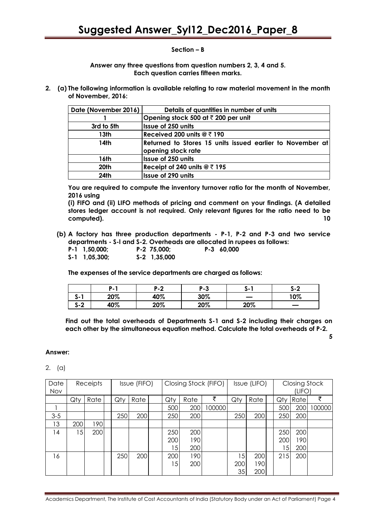#### **Section – B**

**Answer any three questions from question numbers 2, 3, 4 and 5. Each question carries fifteen marks.**

**2. (a) The following information is available relating to raw material movement in the month of November, 2016:**

| Date (November 2016) | Details of quantities in number of units                                        |
|----------------------|---------------------------------------------------------------------------------|
|                      | Opening stock 500 at ₹ 200 per unit                                             |
| 3rd to 5th           | Issue of 250 units                                                              |
| 13th                 | Received 200 units $@ \space \overline{\tau}$ 190                               |
| 14th                 | Returned to Stores 15 units issued earlier to November at<br>opening stock rate |
| 16th                 | <b>Issue of 250 units</b>                                                       |
| 20th                 | Receipt of 240 units $@ \xi 195$                                                |
| 24th                 | <b>Issue of 290 units</b>                                                       |

**You are required to compute the inventory turnover ratio for the month of November, 2016 using**

**(i) FIFO and (ii) LIFO methods of pricing and comment on your findings. (A detailed stores ledger account is not required. Only relevant figures for the ratio need to be computed). 10**

**(b) A factory has three production departments - P-1, P-2 and P-3 and two service departments - S-l and S-2. Overheads are allocated in rupees as follows:**

| $P-1$ 1,50,000; | $P-2$ 75.000:  | $P-3$ 60,000 |
|-----------------|----------------|--------------|
| $S-1$ 1,05,300; | $S-2$ 1,35,000 |              |

**The expenses of the service departments are charged as follows:**

|            | .   | י ה<br>. . | P-3 | ა-  | S-2 |
|------------|-----|------------|-----|-----|-----|
| - J - I    | 20% | 40%        | 30% |     | 10% |
| c o<br>3-2 | 40% | 20%        | 20% | 20% | _   |

**Find out the total overheads of Departments S-1 and S-2 including their charges on each other by the simultaneous equation method. Calculate the total overheads of P-2.**

**5**

#### **Answer:**

2. (a)

| Date       | Receipts |      | Issue (FIFO) |      | Closing Stock (FIFO) |                 | Issue (LIFO) |        | <b>Closing Stock</b> |      |     |        |        |
|------------|----------|------|--------------|------|----------------------|-----------------|--------------|--------|----------------------|------|-----|--------|--------|
| <b>Nov</b> |          |      |              |      |                      |                 |              |        |                      |      |     | (LIFO) |        |
|            | Qty      | Rate | Qty          | Rate |                      | Qty             | Rate         | ₹      | Qty                  | Rate | Qty | Rate   | ₹      |
|            |          |      |              |      |                      | 500             | 200          | 100000 |                      |      | 500 | 200    | 100000 |
| $3 - 5$    |          |      | 250          | 200  |                      | 250             | 200          |        | 250                  | 200  | 250 | 200    |        |
| 13         | 200      | 1901 |              |      |                      |                 |              |        |                      |      |     |        |        |
| 14         | 15       | 200  |              |      |                      | 250             | 200          |        |                      |      | 250 | 200    |        |
|            |          |      |              |      |                      | 200             | 190          |        |                      |      | 200 | 190    |        |
|            |          |      |              |      |                      | 15 <sup>1</sup> | 200          |        |                      |      | 15  | 200    |        |
| 16         |          |      | 250          | 200  |                      | 200             | 190          |        | 5                    | 200  | 215 | 200    |        |
|            |          |      |              |      |                      | 15 <sub>l</sub> | 200          |        | 200                  | 190  |     |        |        |
|            |          |      |              |      |                      |                 |              |        | 35                   | 200  |     |        |        |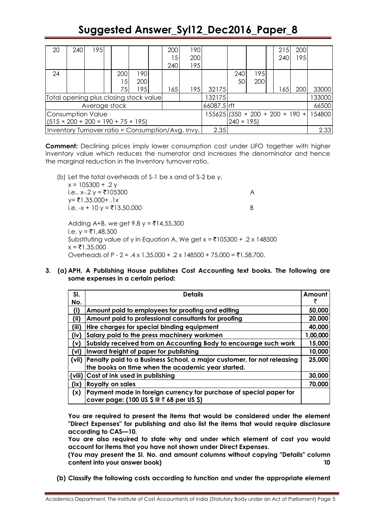| 20                                                  | 240 | 1951          |  |     |      |  | 200                               | 190                                               |             |     |     | 215    | 200 |        |
|-----------------------------------------------------|-----|---------------|--|-----|------|--|-----------------------------------|---------------------------------------------------|-------------|-----|-----|--------|-----|--------|
|                                                     |     |               |  |     |      |  | 15                                | 200                                               |             |     |     | 240    | 195 |        |
|                                                     |     |               |  |     |      |  | 240                               | 195                                               |             |     |     |        |     |        |
| 24                                                  |     |               |  | 200 | 190  |  |                                   |                                                   |             | 240 | 195 |        |     |        |
|                                                     |     |               |  | 15  | 200  |  |                                   |                                                   |             | 50  | 200 |        |     |        |
|                                                     |     |               |  | 75  | 1951 |  | 1651                              | 195                                               | 32175       |     |     | 1651   | 200 | 33000  |
| Total opening plus closing stock value              |     |               |  |     |      |  |                                   |                                                   | 132175      |     |     |        |     | 133000 |
|                                                     |     | Average stock |  |     |      |  |                                   |                                                   | 66087.5 rft |     |     |        |     | 66500  |
| Consumption Value                                   |     |               |  |     |      |  | $155625$ (350 × 200 + 200 × 190 + |                                                   |             |     |     | 154800 |     |        |
| $(515 \times 200 + 200 \times 190 + 75 \times 195)$ |     |               |  |     |      |  |                                   | $240 \times 195$                                  |             |     |     |        |     |        |
|                                                     |     |               |  |     |      |  |                                   | Inventory Turnover ratio = Consumption/Avg. Invy. | 2.35        |     |     |        |     | 2.33   |

**Comment:** Declining prices imply lower consumption cost under LIFO together with higher inventory value which reduces the numerator and increases the denominator and hence the marginal reduction in the Inventory turnover ratio.

(b) Let the total overheads of S-1 be x and of S-2 be y.

 $x = 105300 + 0.2 y$ i.e.. x-.2 y = ₹105300 A  $v = ₹1,35,000+$ .1x i.e. -x + 10 y = ₹13,50,000 B Adding A+B, we get  $9.8 \text{ y} = ₹14,55,300$ i.e.  $y = ₹1,48,500$ Substituting value of y in Equation A, We get  $x = ₹105300 + .2 x 148500$  $x = ₹1,35,000$ Overheads of P - 2 = .4 x 1,35,000 + .2 x 148500 + 75,000 = ₹1,58,700.

**3. (a) APH, A Publishing House publishes Cost Accounting text books. The following are some expenses in a certain period:**

| SI.    | <b>Details</b>                                                                                                 | Amount   |
|--------|----------------------------------------------------------------------------------------------------------------|----------|
| No.    |                                                                                                                | ₹        |
| (i)    | Amount paid to employees for proofing and editing                                                              | 50,000   |
| (ii)   | Amount paid to professional consultants for proofing                                                           | 20,000   |
| (iii)  | Hire charges for special binding equipment                                                                     | 40,000   |
| (iv)   | Salary paid to the press machinery workmen                                                                     | 1,00,000 |
| (v)    | Subsidy received from an Accounting Body to encourage such work                                                | 15,000   |
| (vi)   | Inward freight of paper for publishing                                                                         | 10,000   |
| (vii)  | Penalty paid to a Business School, a major customer, for not releasing                                         | 25,000   |
|        | the books on time when the academic year started.                                                              |          |
| (viii) | Cost of ink used in publishing                                                                                 | 30,000   |
| (ix)   | <b>Royalty on sales</b>                                                                                        | 70,000   |
| (x)    | Payment made in foreign currency for purchase of special paper for<br>cover page: (100 US \$ @ ₹ 68 per US \$) |          |

**You are required to present the items that would be considered under the element "Direct Expenses" for publishing and also list the items that would require disclosure according to CAS—10.**

**You are also required to state why and under which element of cost you would account for items that you have not shown under Direct Expenses.**

**(You may present the SI. No. and amount columns without copying "Details" column content into your answer book) 10**

**(b) Classify the following costs according to function and under the appropriate element**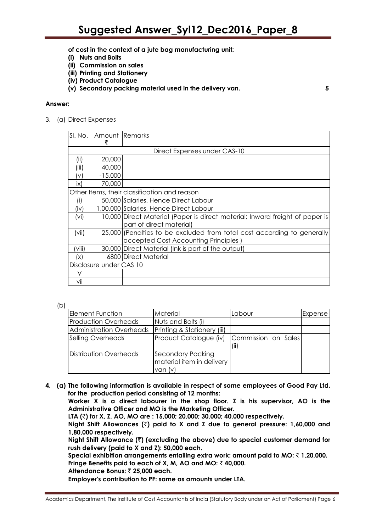- **of cost in the context of a jute bag manufacturing unit:**
- **(i) Nuts and Bolts**
- **(ii) Commission on sales**
- **(iii) Printing and Stationery**
- **(iv) Product Catalogue**
- **(v) Secondary packing material used in the delivery van. 5**

#### **Answer:**

3. (a) Direct Expenses

|            | SI. No.   Amount   Remarks |                                                                              |
|------------|----------------------------|------------------------------------------------------------------------------|
|            |                            | Direct Expenses under CAS-10                                                 |
| (ii)       | 20,000                     |                                                                              |
| (iii)      | 40,000                     |                                                                              |
| (V)        | $-15,000$                  |                                                                              |
| ix)        | 70,000                     |                                                                              |
|            |                            | Other Items, their classification and reason                                 |
|            |                            | 50,000 Salaries. Hence Direct Labour                                         |
| $(i \vee)$ |                            | 1,00,000 Salaries, Hence Direct Labour                                       |
| (vi)       |                            | 10,000 Direct Material (Paper is direct material; Inward freight of paper is |
|            |                            | part of direct material)                                                     |
| (vii)      |                            | 25,000 (Penalties to be excluded from total cost according to generally      |
|            |                            | accepted Cost Accounting Principles                                          |
| (viii)     |                            | 30,000 Direct Material (Ink is part of the output)                           |
| ΙX         |                            | 6800 Direct Material                                                         |
|            | Disclosure under CAS 10    |                                                                              |
|            |                            |                                                                              |
| vii        |                            |                                                                              |

(b)

| <b>Element Function</b>     | Material                                                         | Labour              | Expense |
|-----------------------------|------------------------------------------------------------------|---------------------|---------|
| <b>Production Overheads</b> | Nuts and Bolts (i)                                               |                     |         |
| Administration Overheads    | Printing & Stationery (iii)                                      |                     |         |
| Selling Overheads           | Product Catalogue (iv)                                           | Commission on Sales |         |
| Distribution Overheads      | <b>Secondary Packing</b><br>material item in delivery<br>van (v) |                     |         |

**4. (a) The following information is available in respect of some employees of Good Pay Ltd. for the production period consisting of 12 months:**

**Worker X is a direct labourer in the shop floor. Z is his supervisor, AO is the Administrative Officer and MO is the Marketing Officer.**

**LTA (**`**) for X, Z, AO, MO are : 15,000; 20,000; 30,000; 40,000 respectively.**

**Night Shift Allowances (**`**) paid to X and Z due to general pressure: 1,60,000 and 1,80,000 respectively.**

**Night Shift Allowance (**`**) (excluding the above) due to special customer demand for rush delivery (paid to X and Z): 50,000 each.**

**Special exhibition arrangements entailing extra work: amount paid to MO:** ` **1,20,000.** Fringe Benefits paid to each of X, M, AO and MO:  $\bar{z}$  40,000.

**Attendance Bonus:** ` **25,000 each.**

**Employer's contribution to PF: same as amounts under LTA.**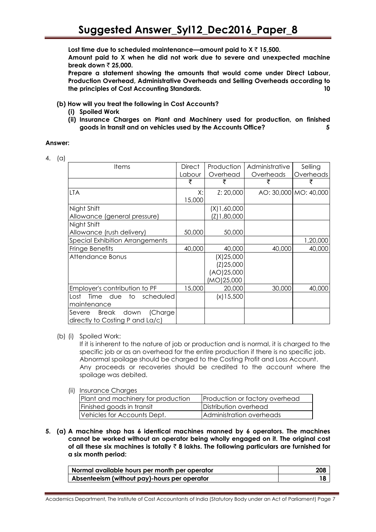**Lost time due to scheduled maintenance—amount paid to X** ` **15,500.**

**Amount paid to X when he did not work due to severe and unexpected machine break down ₹ 25,000.** 

**Prepare a statement showing the amounts that would come under Direct Labour, Production Overhead, Administrative Overheads and Selling Overheads according to the principles of Cost Accounting Standards. 10**

- **(b) How will you treat the following in Cost Accounts?** 
	- **(i) Spoiled Work**
	- **(ii) Insurance Charges on Plant and Machinery used for production, on finished goods in transit and on vehicles used by the Accounts Office? 5**

#### **Answer:**

4. (a)

| <b>Items</b>                               | <b>Direct</b> | Production   | Administrative | Selling               |
|--------------------------------------------|---------------|--------------|----------------|-----------------------|
|                                            | Labour        | Overhead     | Overheads      | Overheads             |
|                                            | ₹             | ₹            | ₹              | ₹                     |
| LTA                                        | X:            | Z: 20,000    |                | AO: 30,000 MO: 40,000 |
|                                            | 15,000        |              |                |                       |
| Night Shift                                |               | (X)1,60,000  |                |                       |
| Allowance (general pressure)               |               | (Z)1,80,000  |                |                       |
| Night Shift                                |               |              |                |                       |
| Allowance (rush delivery)                  | 50,000        | 50,000       |                |                       |
| <b>Special Exhibition Arrangements</b>     |               |              |                | 1,20,000              |
| Fringe Benefits                            | 40,000        | 40,000       | 40,000         | 40,000                |
| Attendance Bonus                           |               | (X)25,000    |                |                       |
|                                            |               | (Z)25,000    |                |                       |
|                                            |               | (AO)25,000   |                |                       |
|                                            |               | (MO)25,000   |                |                       |
| Employer's contribution to PF              | 15,000        | 20,000       | 30,000         | 40,000                |
| Time due<br>to scheduled<br>Lost           |               | $(x)$ 15,500 |                |                       |
| maintenance                                |               |              |                |                       |
| <b>Break</b><br>down<br>(Charge)<br>Severe |               |              |                |                       |
| directly to Costing P and La/c)            |               |              |                |                       |

(b) (i) Spoiled Work:

If it is inherent to the nature of job or production and is normal, it is charged to the specific job or as an overhead for the entire production if there is no specific job. Abnormal spoilage should be charged to the Costing Profit and Loss Account. Any proceeds or recoveries should be credited to the account where the spoilage was debited.

(ii) Insurance Charges

| Plant and machinery for production | Production or factory overhead |
|------------------------------------|--------------------------------|
| Finished goods in transit          | Distribution overhead          |
| Vehicles for Accounts Dept.        | Administration overheads       |

**5. (a) A machine shop has 6 identical machines manned by 6 operators. The machines cannot be worked without an operator being wholly engaged on it. The original cost of all these six machines is totally** ` **8 lakhs. The following particulars are furnished for a six month period:**

| Normal available hours per month per operator | 208 |
|-----------------------------------------------|-----|
| Absenteeism (without pay)-hours per operator  |     |

Academics Department, The Institute of Cost Accountants of India (Statutory Body under an Act of Parliament) Page 7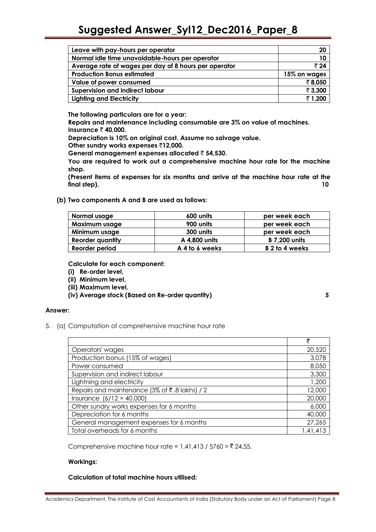| Leave with pay-hours per operator                     | 20           |
|-------------------------------------------------------|--------------|
| Normal idle time unavoidable-hours per operator       | 10           |
| Average rate of wages per day of 8 hours per operator | ₹24          |
| <b>Production Bonus estimated</b>                     | 15% on wages |
| Value of power consumed                               | ₹8,050       |
| <b>Supervision and indirect labour</b>                | ₹3,300       |
| <b>Lighting and Electricity</b>                       | ₹1,200       |

**The following particulars are for a year:**

**Repairs and maintenance including consumable are 3% on value of machines. Insurance ₹40,000.** 

**Depreciation is 10% on original cost. Assume no salvage value.**

**Other sundry works expenses** `**12,000.**

**General management expenses allocated** ` **54,530.**

**You are required to work out a comprehensive machine hour rate for the machine shop.**

**(Present items of expenses for six months and arrive at the machine hour rate at the final step).** 10

**(b) Two components A and B are used as follows:**

| Normal usage            | 600 units      | per week each        |
|-------------------------|----------------|----------------------|
| Maximum usage           | 900 units      | per week each        |
| Minimum usage           | 300 units      | per week each        |
| <b>Reorder quantity</b> | A 4,800 units  | <b>B</b> 7,200 units |
| Reorder period          | A 4 to 6 weeks | B 2 to 4 weeks       |

**Calculate for each component:**

- **(i) Re-order level,**
- **(ii) Minimum level,**
- **(iii) Maximum level,**

**(iv) Average stock (Based on Re-order quantity) 5**

#### **Answer:**

5. (a) Computation of comprehensive machine hour rate

|                                               | ₹        |
|-----------------------------------------------|----------|
| Operators' wages                              | 20,520   |
| Production bonus (15% of wages)               | 3,078    |
| Power consumed                                | 8,050    |
| Supervision and indirect labour               | 3,300    |
| Lightning and electricity                     | 1,200    |
| Repairs and maintenance (3% of ₹.8 lakhs) / 2 | 12,000   |
| Insurance $(6/12 \times 40,000)$              | 20,000   |
| Other sundry works expenses for 6 months      | 6,000    |
| Depreciation for 6 months                     | 40,000   |
| General management expenses for 6 months      | 27,265   |
| Total overheads for 6 months                  | 1,41,413 |

Comprehensive machine hour rate =  $1,41,413 / 5760 = ₹ 24.55$ .

#### **Workings:**

#### **Calculation of total machine hours utilised:**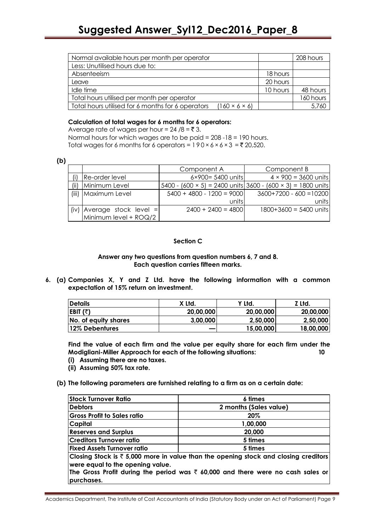| Normal available hours per month per operator                                  |          | 208 hours |
|--------------------------------------------------------------------------------|----------|-----------|
| Less: Unutilised hours due to:                                                 |          |           |
| Absenteeism                                                                    | 18 hours |           |
| Leave                                                                          | 20 hours |           |
| Idle time                                                                      | 10 hours | 48 hours  |
| Total hours utilised per month per operator                                    |          | 160 hours |
| Total hours utilised for 6 months for 6 operators<br>$(160 \times 6 \times 6)$ |          | 5,760     |

#### **Calculation of total wages for 6 months for 6 operators:**

Average rate of wages per hour =  $24 / 8 = 73$ .

Normal hours for which wages are to be paid = 208 -18 = 190 hours. Total wages for 6 months for 6 operators =  $190 \times 6 \times 6 \times 3 = 20,520$ .

| ۰.       |
|----------|
|          |
| ۰.<br>۰. |

|       |                              | Component A                 | Component B                                                               |  |
|-------|------------------------------|-----------------------------|---------------------------------------------------------------------------|--|
|       | Re-order level               | 6×900= 5400 units           | $4 \times 900 = 3600$ units                                               |  |
| (iii) | Minimum Level                |                             | 5400 - $(600 \times 5)$ = 2400 units 3600 - $(600 \times 3)$ = 1800 units |  |
| (iii) | Maximum Level                | $5400 + 4800 - 1200 = 9000$ | $3600+7200 - 600 = 10200$                                                 |  |
|       |                              | units                       | units                                                                     |  |
|       | $(iv)$ Average stock level = | $2400 + 2400 = 4800$        | $1800+3600 = 5400$ units                                                  |  |
|       | Minimum level + ROQ/2        |                             |                                                                           |  |

#### **Section C**

#### **Answer any two questions from question numbers 6, 7 and 8. Each question carries fifteen marks.**

**6. (a) Companies X, Y and Z Ltd. have the following information with a common expectation of 15% return on investment.**

| <b>Details</b>       | X Ltd.    | Y Ltd.    | Z Ltd.    |
|----------------------|-----------|-----------|-----------|
| EBIT (₹)             | 20,00,000 | 20,00,000 | 20,00,000 |
| No. of equity shares | 3,00,000  | 2,50,000  | 2,50,000  |
| 12% Debentures       |           | 15,00,000 | 18,00,000 |

**Find the value of each firm and the value per equity share for each firm under the Modigliani-Miller Approach for each of the following situations: 10**

- **(i) Assuming there are no taxes.**
- **(ii) Assuming 50% tax rate.**
- **(b) The following parameters are furnished relating to a firm as on a certain date:**

| <b>Stock Turnover Ratio</b>                                                                                                                                                                                                                    | 6 times                |  |
|------------------------------------------------------------------------------------------------------------------------------------------------------------------------------------------------------------------------------------------------|------------------------|--|
| <b>Debtors</b>                                                                                                                                                                                                                                 | 2 months (Sales value) |  |
| <b>Gross Profit to Sales ratio</b>                                                                                                                                                                                                             | 20%                    |  |
| <b>Capital</b>                                                                                                                                                                                                                                 | 1,00,000               |  |
| <b>Reserves and Surplus</b>                                                                                                                                                                                                                    | 20,000                 |  |
| <b>Creditors Turnover ratio</b>                                                                                                                                                                                                                | 5 times                |  |
| <b>Fixed Assets Turnover ratio</b>                                                                                                                                                                                                             | 5 times                |  |
| Closing Stock is $\bar{\tau}$ 5,000 more in value than the opening stock and closing creditors<br>were equal to the opening value.<br>The Gross Profit during the period was $\bar{\tau}$ 60,000 and there were no cash sales or<br>purchases. |                        |  |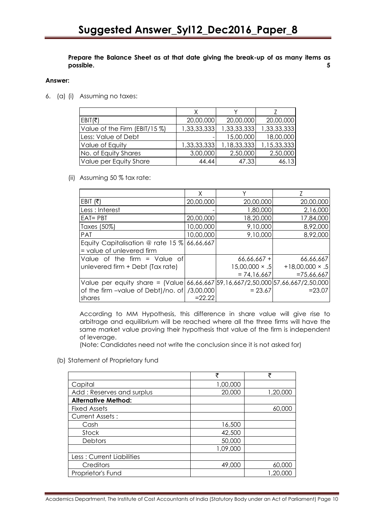**Prepare the Balance Sheet as at that date giving the break-up of as many items as possible. 5**

#### **Answer:**

6. (a) (i) Assuming no taxes:

| EBIT( $\bar{\tau}$ )          | 20,00,000   | 20,00,000   | 20,00,000   |
|-------------------------------|-------------|-------------|-------------|
| Value of the Firm (EBIT/15 %) | 1,33,33,333 | 1,33,33,333 | 1,33,33,333 |
| Less: Value of Debt           |             | 15,00,000   | 18,00,000   |
| Value of Equity               | 1,33,33,333 | 1,18,33,333 | 1,15,33,333 |
| No. of Equity Shares          | 3,00,000    | 2,50,000    | 2,50,000    |
| Value per Equity Share        | 44.44       | 47.33       | 46.13       |

(ii) Assuming 50 % tax rate:

|                                                                                      | Χ         |                       |                        |
|--------------------------------------------------------------------------------------|-----------|-----------------------|------------------------|
| EBIT $(\bar{\tau})$                                                                  | 20,00,000 | 20,00,000             | 20,00,000              |
| Less : Interest                                                                      |           | 1,80,000              | 2,16,000               |
| $EAT = PBT$                                                                          | 20,00,000 | 18,20,000             | 17,84,000              |
| Taxes (50%)                                                                          | 10,00,000 | 9,10,000              | 8,92,000               |
| <b>PAT</b>                                                                           | 10,00,000 | 9,10,000              | 8,92,000               |
| Equity Capitalisation @ rate 15 $\%$                                                 | 66,66,667 |                       |                        |
| = value of unlevered firm                                                            |           |                       |                        |
| Value of the firm $=$ Value of                                                       |           | $66,66,667 +$         | 66,66,667              |
| unlevered firm + Debt (Tax rate)                                                     |           | $15,00,000 \times .5$ | $+18,00,000 \times .5$ |
|                                                                                      |           | $= 74.16.667$         | $=75,66,667$           |
| Value per equity share = $[Value] 66,66,667] 59,16,667/2,50,000] 57,66,667/2,50,000$ |           |                       |                        |
| of the firm -value of Debt)/no. of /3,00,000                                         |           | $= 23.67$             | $= 23.07$              |
| <b>Ishares</b>                                                                       | $=22.22$  |                       |                        |

According to MM Hypothesis, this difference in share value will give rise to arbitrage and equilibrium will be reached where all the three firms will have the same market value proving their hypothesis that value of the firm is independent of leverage.

(Note: Candidates need not write the conclusion since it is not asked for)

(b) Statement of Proprietary fund

|                            | ₹        | ₹        |
|----------------------------|----------|----------|
| Capital                    | 1,00,000 |          |
| Add: Reserves and surplus  | 20,000   | 1,20,000 |
| <b>Alternative Method:</b> |          |          |
| <b>Fixed Assets</b>        |          | 60,000   |
| <b>Current Assets:</b>     |          |          |
| Cash                       | 16,500   |          |
| Stock                      | 42,500   |          |
| Debtors                    | 50,000   |          |
|                            | 1,09,000 |          |
| Less: Current Liabilities  |          |          |
| Creditors                  | 49,000   | 60,000   |
| Proprietor's Fund          |          | 1,20,000 |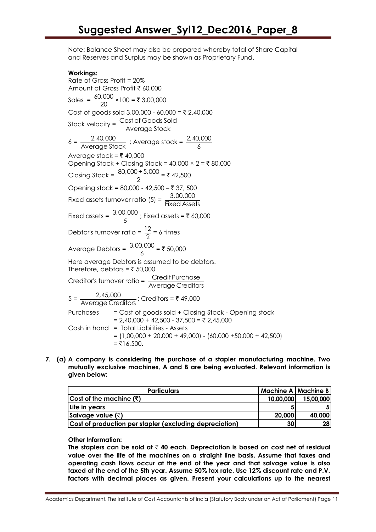Note: Balance Sheet may also be prepared whereby total of Share Capital and Reserves and Surplus may be shown as Proprietary Fund.

#### **Workings:**

Rate of Gross Profit = 20% Amount of Gross Profit ₹ 60,000 Sales =  $\frac{60,000}{00}$  $\frac{20}{20}$  × 100 = ₹ 3,00,000 Cost of goods sold  $3,00,000 - 60,000 = \overline{5} \ 2,40,000$ Stock velocity =  $\frac{\text{Cost of Goods Sold}}{\text{Cost of goods}}$ Average Stock  $6 = \frac{2,40,000}{1}$  $\frac{2,40,000}{\text{Average Stock}}$ ; Average stock =  $\frac{2,40,000}{6}$ 6 Average stock =  $\bar{\tau}$  40,000 Opening Stock + Closing Stock =  $40,000 \times 2 = 580,000$ Closing Stock =  $\frac{80,000+5,000}{2}$  $\frac{1}{2}$  = ₹ 42,500 Opening stock = 80,000 - 42,500 - ₹ 37, 500 Fixed assets turnover ratio (5) =  $\frac{3,00,000}{\frac{\pi}{2}}$ Fixed Assets Fixed assets =  $\frac{9,00}{5}$  $\frac{3,00,000}{5}$ ; Fixed assets = ₹ 60,000 Debtor's turnover ratio =  $\frac{12}{6}$  $\frac{2}{2}$  = 6 times Average Debtors =  $\frac{3,00,000}{4}$  $\frac{3,000}{6}$  = ₹ 50,000 Here average Debtors is assumed to be debtors. Therefore, debtors =  $\bar{\tau}$  50,000 Creditor's turnover ratio =  $\frac{\text{Credit Purchase}}{\text{Argument}$ Average Creditors  $5 = \frac{2,45,000}{2}$ <u>2,40,000</u><br>Average Creditors ; Creditors = ₹ 49,000 Purchases = Cost of goods sold + Closing Stock - Opening stock  $= 2,40,000 + 42,500 - 37,500 = ₹ 2,45,000$ Cash in hand = Total Liabilities - Assets  $= (1,00,000 + 20,000 + 49,000) - (60,000 + 50,000 + 42,500)$  $=$  ₹16.500.

**7. (a) A company is considering the purchase of a stapler manufacturing machine. Two mutually exclusive machines, A and B are being evaluated. Relevant information is given below:**

| <b>Particulars</b>                                      |                 | Machine A   Machine B |
|---------------------------------------------------------|-----------------|-----------------------|
| Cost of the machine $(3)$                               | 10,00,000       | 15,00,000             |
| Life in years                                           |                 |                       |
| Salvage value $(\bar{z})$                               | 20,000          | 40,000                |
| Cost of production per stapler (excluding depreciation) | 30 <sub>l</sub> | 28 <sub>1</sub>       |

#### **Other Information:**

**The staplers can be sold at** ` **40 each. Depreciation is based on cost net of residual value over the life of the machines on a straight line basis. Assume that taxes and operating cash flows occur at the end of the year and that salvage value is also taxed at the end of the 5th year. Assume 50% tax rate. Use 12% discount rate and P.V. factors with decimal places as given. Present your calculations up to the nearest**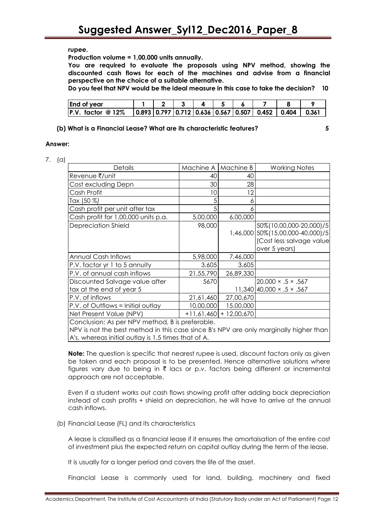#### **rupee.**

**Production volume = 1,00,000 units annually.**

**You are required to evaluate the proposals using NPV method, showing the discounted cash flows for each of the machines and advise from a financial perspective on the choice of a suitable alternative.**

**Do you feel that NPV would be the ideal measure in this case to take the decision? 10**

| <b>End of year</b>   |  |  |  |                                                                               |  |
|----------------------|--|--|--|-------------------------------------------------------------------------------|--|
| $ P.V.$ factor @ 12% |  |  |  | $\vert$ 0.893   0.797   0.712   0.636   0.567   0.507   0.452   0.404   0.361 |  |

#### **(b) What is a Financial Lease? What are its characteristic features? 5**

#### **Answer:**

7. (a)

| <b>Details</b>                                                                        | Machine A   Machine B |                          | <b>Working Notes</b>                |  |
|---------------------------------------------------------------------------------------|-----------------------|--------------------------|-------------------------------------|--|
| Revenue ₹/unit                                                                        | 40                    | 40                       |                                     |  |
| Cost excluding Depn                                                                   | 30                    | 28                       |                                     |  |
| Cash Profit                                                                           | 10                    | 12                       |                                     |  |
| Tax (50 %)                                                                            |                       | 6                        |                                     |  |
| Cash profit per unit after tax                                                        | 5                     | 6                        |                                     |  |
| Cash profit for 1,00,000 units p.a.                                                   | 5,00,000              | 6,00,000                 |                                     |  |
| Depreciation Shield                                                                   | 98,000                |                          | 50%(10,00,000-20,000)/5             |  |
|                                                                                       |                       |                          | 1,46,000 50% (15,00,000-40,000) / 5 |  |
|                                                                                       |                       |                          | (Cost less salvage value            |  |
|                                                                                       |                       |                          | over 5 years)                       |  |
| Annual Cash Inflows                                                                   | 5,98,000              | 7,46,000                 |                                     |  |
| P.V. factor yr 1 to 5 annuity                                                         | 3.605                 | 3.605                    |                                     |  |
| P.V. of annual cash inflows                                                           | 21,55,790             | 26,89,330                |                                     |  |
| Discounted Salvage value after                                                        | 5670                  |                          | $20,000 \times .5 \times .567$      |  |
| tax at the end of year 5                                                              |                       |                          | $11,340$ 40,000 × .5 × .567         |  |
| P.V. of inflows                                                                       | 21,61,460             | 27,00,670                |                                     |  |
| P.V. of Outflows = Initial outlay                                                     | 10,00,000             | 15,00,000                |                                     |  |
| Net Present Value (NPV)                                                               |                       | $+11,61,460$ + 12,00,670 |                                     |  |
| Conclusion: As per NPV method, B is preferable.                                       |                       |                          |                                     |  |
| NPV is not the best method in this case since B's NPV are only marginally higher than |                       |                          |                                     |  |
| A's, whereas initial outlay is 1.5 times that of A.                                   |                       |                          |                                     |  |

**Note:** The question is specific that nearest rupee is used, discount factors only as given be taken and each proposal is to be presented. Hence alternative solutions where figures vary due to being in  $\bar{\tau}$  lacs or p.v. factors being different or incremental approach are not acceptable.

Even if a student works out cash flows showing profit after adding back depreciation instead of cash profits + shield on depreciation, he will have to arrive at the annual cash inflows.

(b) Financial Lease (FL) and its characteristics

A lease is classified as a financial lease if it ensures the amortaisation of the entire cost of investment plus the expected return on capital outlay during the term of the lease.

It is usually for a longer period and covers the life of the asset.

Financial Lease is commonly used for land, building, machinery and fixed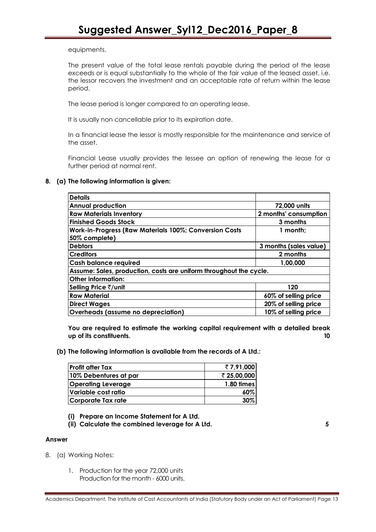equipments.

The present value of the total lease rentals payable during the period of the lease exceeds or is equal substantially to the whole of the fair value of the leased asset, i.e. the lessor recovers the investment and an acceptable rate of return within the lease period.

The lease period is longer compared to an operating lease.

It is usually non cancellable prior to its expiration date.

In a financial lease the lessor is mostly responsible for the maintenance and service of the asset.

Financial Lease usually provides the lessee an option of renewing the lease for a further period at normal rent.

#### **8. (a) The following information is given:**

| <b>Details</b>                                                     |                        |  |  |
|--------------------------------------------------------------------|------------------------|--|--|
| <b>Annual production</b>                                           | 72,000 units           |  |  |
| <b>Raw Materials Inventory</b>                                     | 2 months' consumption  |  |  |
| <b>Finished Goods Stock</b>                                        | 3 months               |  |  |
| Work-in-Progress (Raw Materials 100%; Conversion Costs             | $1$ month:             |  |  |
| 50% complete)                                                      |                        |  |  |
| <b>Debtors</b>                                                     | 3 months (sales value) |  |  |
| <b>Creditors</b>                                                   | 2 months               |  |  |
| <b>Cash balance required</b>                                       | 1,00,000               |  |  |
| Assume: Sales, production, costs are uniform throughout the cycle. |                        |  |  |
| Other information:                                                 |                        |  |  |
| Selling Price ₹/unit                                               | 120                    |  |  |
| <b>Raw Material</b>                                                | 60% of selling price   |  |  |
| <b>Direct Wages</b>                                                | 20% of selling price   |  |  |
| Overheads (assume no depreciation)                                 | 10% of selling price   |  |  |

**You are required to estimate the working capital requirement with a detailed break up of its constituents. 10**

**(b) The following information is available from the records of A Ltd.:**

| Profit after Tax          | ₹7,91,000   |
|---------------------------|-------------|
| 10% Debentures at par     | ₹ 25,00,000 |
| <b>Operating Leverage</b> | 1.80 times  |
| Variable cost ratio       | $60\%$      |
| Corporate Tax rate        | 30%         |

- **(i) Prepare an Income Statement for A Ltd.**
- **(ii) Calculate the combined leverage for A Ltd. 5**

#### **Answer**

- 8. (a) Working Notes:
	- 1. Production for the year 72,000 units Production for the month - 6000 units.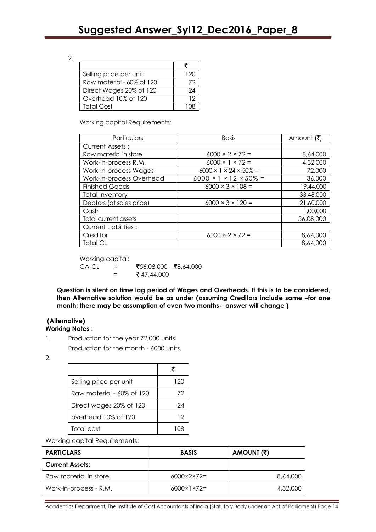2.

| Selling price per unit    | 120 |
|---------------------------|-----|
| Raw material - 60% of 120 | 72  |
| Direct Wages 20% of 120   | 24  |
| Overhead 10% of 120       | 12  |
| Total Cost                |     |

Working capital Requirements:

| Particulars                 | <b>Basis</b>                            | Amount (₹) |
|-----------------------------|-----------------------------------------|------------|
| <b>Current Assets:</b>      |                                         |            |
| Raw material in store       | $6000 \times 2 \times 72 =$             | 8,64,000   |
| Work-in-process R.M.        | $6000 \times 1 \times 72 =$             | 4,32,000   |
| Work-in-process Wages       | $6000 \times 1 \times 24 \times 50\% =$ | 72,000     |
| Work-in-process Overhead    | $6000 \times 1 \times 12 \times 50\% =$ | 36,000     |
| <b>Finished Goods</b>       | $6000 \times 3 \times 108 =$            | 19,44,000  |
| <b>Total Inventory</b>      |                                         | 33,48,000  |
| Debtors (at sales price)    | $6000 \times 3 \times 120 =$            | 21,60,000  |
| Cash                        |                                         | 1,00,000   |
| Total current assets        |                                         | 56,08,000  |
| <b>Current Liabilities:</b> |                                         |            |
| Creditor                    | $6000 \times 2 \times 72 =$             | 8,64,000   |
| <b>Total CL</b>             |                                         | 8,64,000   |

Working capital:

 $CA-CL$  = ₹56,08,000 – ₹8,64,000  $=$  ₹ 47,44,000

**Question is silent on time lag period of Wages and Overheads. If this is to be considered, then Alternative solution would be as under (assuming Creditors include same –for one month; there may be assumption of even two months- answer will change )**

### **(Alternative)**

**Working Notes :**

- 1. Production for the year 72,000 units Production for the month - 6000 units.
- 2.

| Selling price per unit    | 120 |
|---------------------------|-----|
| Raw material - 60% of 120 | 72  |
| Direct wages 20% of 120   | 24  |
| overhead 10% of 120       | 12  |
| Total cost                |     |

Working capital Requirements:

| <b>PARTICLARS</b>      | <b>BASIS</b>                | AMOUNT (₹) |
|------------------------|-----------------------------|------------|
| <b>Current Assets:</b> |                             |            |
| Raw material in store  | $6000 \times 2 \times 72 =$ | 8,64,000   |
| Work-in-process - R.M. | $6000 \times 1 \times 72 =$ | 4,32,000   |

Academics Department, The Institute of Cost Accountants of India (Statutory Body under an Act of Parliament) Page 14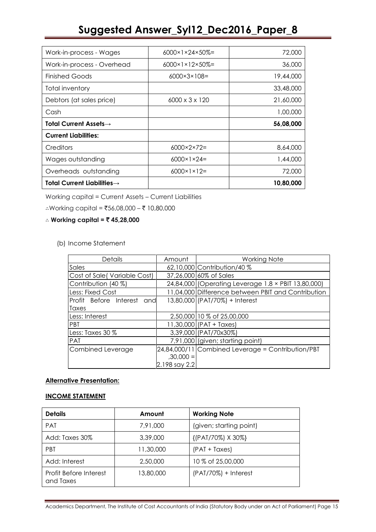| Work-in-process - Wages                 | $6000 \times 1 \times 24 \times 50\% =$ | 72,000    |
|-----------------------------------------|-----------------------------------------|-----------|
| Work-in-process - Overhead              | $6000 \times 1 \times 12 \times 50\% =$ | 36,000    |
| <b>Finished Goods</b>                   | $6000 \times 3 \times 108 =$            | 19,44,000 |
| <b>Total inventory</b>                  |                                         | 33,48,000 |
| Debtors (at sales price)                | $6000 \times 3 \times 120$              | 21,60,000 |
| Cash                                    |                                         | 1,00,000  |
| Total Current Assets $\rightarrow$      |                                         | 56,08,000 |
| <b>Current Liabilities:</b>             |                                         |           |
| Creditors                               | $6000 \times 2 \times 72 =$             | 8,64,000  |
| Wages outstanding                       | $6000 \times 1 \times 24 =$             | 1,44,000  |
| Overheads outstanding                   | $6000 \times 1 \times 12 =$             | 72,000    |
| Total Current Liabilities $\rightarrow$ |                                         | 10,80,000 |

Working capital = Current Assets – Current Liabilities

∴Working capital = ₹56,08,000 – ₹ 10,80,000

#### ∴ **Working capital =** ` **45,28,000**

(b) Income Statement

| Details                       | Amount        | <b>Working Note</b>                                 |
|-------------------------------|---------------|-----------------------------------------------------|
| Sales                         |               | 62,10,000 Contribution/40 %                         |
| Cost of Sale (Variable Cost)  |               | 37,26,000 60% of Sales                              |
| Contribution (40 %)           |               | 24,84,000 (Operating Leverage 1.8 × PBIT 13,80,000) |
| Less: Fixed Cost              |               | 11,04,000 Difference between PBIT and Contribution  |
| Profit Before Interest<br>and |               | 13,80,000 (PAT/70%) + Interest                      |
| Taxes                         |               |                                                     |
| Less: Interest                |               | 2,50,000 10 % of 25,00,000                          |
| <b>PBT</b>                    |               | $11,30,000$ (PAT + Taxes)                           |
| ILess: Taxes 30 %             |               | 3,39,000 (PAT/70x30%)                               |
| PAT                           |               | 7,91,000 (given; starting point)                    |
| Combined Leverage             |               | $24,84,000/11$ Combined Leverage = Contribution/PBT |
|                               | $,30,000 =$   |                                                     |
|                               | 2.198 say 2.2 |                                                     |

#### **Alternative Presentation:**

#### **INCOME STATEMENT**

| <b>Details</b>                      | Amount    | <b>Working Note</b>     |
|-------------------------------------|-----------|-------------------------|
| <b>PAT</b>                          | 7,91,000  | (given; starting point) |
| Add: Taxes 30%                      | 3,39,000  | {(PAT/70%) X 30%}       |
| <b>PRT</b>                          | 11,30,000 | $(PAT + Taxes)$         |
| Add: Interest                       | 2,50,000  | 10 % of 25,00,000       |
| Profit Before Interest<br>and Taxes | 13,80,000 | $(PAT/70\%) + Interest$ |